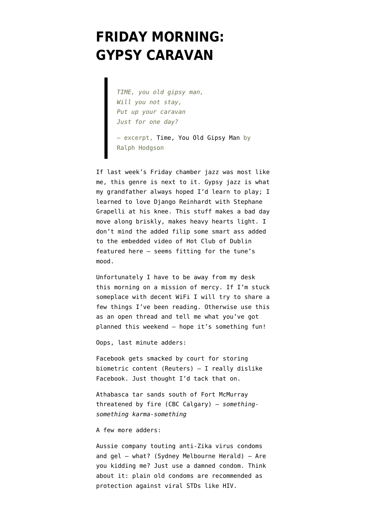## **[FRIDAY MORNING:](https://www.emptywheel.net/2016/05/06/friday-morning-gypsy-caravan/) [GYPSY CARAVAN](https://www.emptywheel.net/2016/05/06/friday-morning-gypsy-caravan/)**

*TIME, you old gipsy man, Will you not stay, Put up your caravan Just for one day?*

— excerpt, [Time, You Old Gipsy Man](http://www.bartleby.com/103/109.html) by Ralph Hodgson

If last week's Friday chamber jazz was most like me, this genre is next to it. Gypsy jazz is what my grandfather always hoped I'd learn to play; I learned to love [Django Reinhardt with Stephane](https://youtu.be/VpmOTGungnA) [Grapelli](https://youtu.be/VpmOTGungnA) at his knee. This stuff makes a bad day move along briskly, makes heavy hearts light. I don't mind the added filip some smart ass added to the embedded video of Hot Club of Dublin featured here — seems fitting for the tune's mood.

Unfortunately I have to be away from my desk this morning on a mission of mercy. If I'm stuck someplace with decent WiFi I will try to share a few things I've been reading. Otherwise use this as an open thread and tell me what you've got planned this weekend — hope it's something fun!

Oops, last minute adders:

[Facebook gets smacked by court for storing](http://www.reuters.com/article/us-facebook-lawsuit-idUSKCN0XX08U) [biometric content](http://www.reuters.com/article/us-facebook-lawsuit-idUSKCN0XX08U) (Reuters) — I really dislike Facebook. Just thought I'd tack that on.

[Athabasca tar sands south of Fort McMurray](http://www.cbc.ca/news/canada/calgary/athabasca-oil-fire-1.3569303) [threatened by fire](http://www.cbc.ca/news/canada/calgary/athabasca-oil-fire-1.3569303) (CBC Calgary) — *somethingsomething karma-something*

A few more adders:

[Aussie company touting anti-Zika virus condoms](http://www.smh.com.au/business/biotech-starpharma-rises-6pc-on-zika-product-20160505-gomt3b.html) [and gel](http://www.smh.com.au/business/biotech-starpharma-rises-6pc-on-zika-product-20160505-gomt3b.html) – what? (Sydney Melbourne Herald) — Are you kidding me? Just use a damned condom. Think about it: plain old condoms are [recommended as](http://www.cdc.gov/condomeffectiveness/brief.html) [protection](http://www.cdc.gov/condomeffectiveness/brief.html) against viral STDs like HIV.